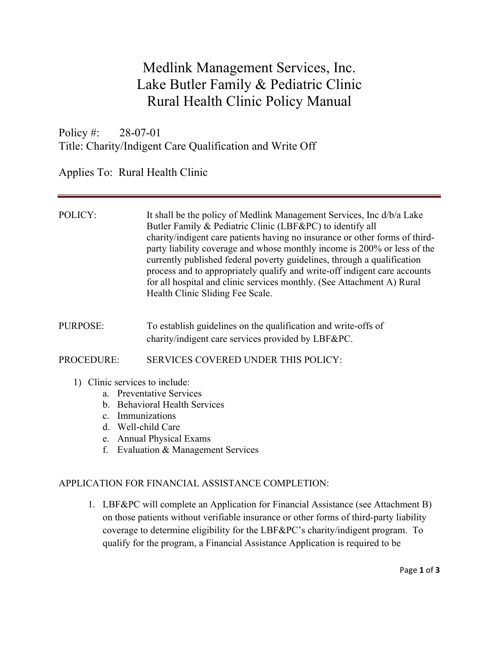# Medlink Management Services, Inc. Lake Butler Family & Pediatric Clinic Rural Health Clinic Policy Manual

Policy #: 28-07-01 Title: Charity/Indigent Care Qualification and Write Off

Applies To: Rural Health Clinic

| POLICY:                        | It shall be the policy of Medlink Management Services, Inc d/b/a Lake<br>Butler Family & Pediatric Clinic (LBF&PC) to identify all<br>charity/indigent care patients having no insurance or other forms of third-<br>party liability coverage and whose monthly income is 200% or less of the<br>currently published federal poverty guidelines, through a qualification<br>process and to appropriately qualify and write-off indigent care accounts<br>for all hospital and clinic services monthly. (See Attachment A) Rural<br>Health Clinic Sliding Fee Scale. |
|--------------------------------|---------------------------------------------------------------------------------------------------------------------------------------------------------------------------------------------------------------------------------------------------------------------------------------------------------------------------------------------------------------------------------------------------------------------------------------------------------------------------------------------------------------------------------------------------------------------|
| PURPOSE:                       | To establish guidelines on the qualification and write-offs of<br>charity/indigent care services provided by LBF&PC.                                                                                                                                                                                                                                                                                                                                                                                                                                                |
| <b>PROCEDURE:</b>              | <b>SERVICES COVERED UNDER THIS POLICY:</b>                                                                                                                                                                                                                                                                                                                                                                                                                                                                                                                          |
| 1) Clinic services to include: | a. Preventative Services<br>b. Behavioral Health Services                                                                                                                                                                                                                                                                                                                                                                                                                                                                                                           |

- c. Immunizations
- d. Well-child Care
- e. Annual Physical Exams
- f. Evaluation & Management Services

### APPLICATION FOR FINANCIAL ASSISTANCE COMPLETION:

1. LBF&PC will complete an Application for Financial Assistance (see Attachment B) on those patients without verifiable insurance or other forms of third-party liability coverage to determine eligibility for the LBF&PC's charity/indigent program. To qualify for the program, a Financial Assistance Application is required to be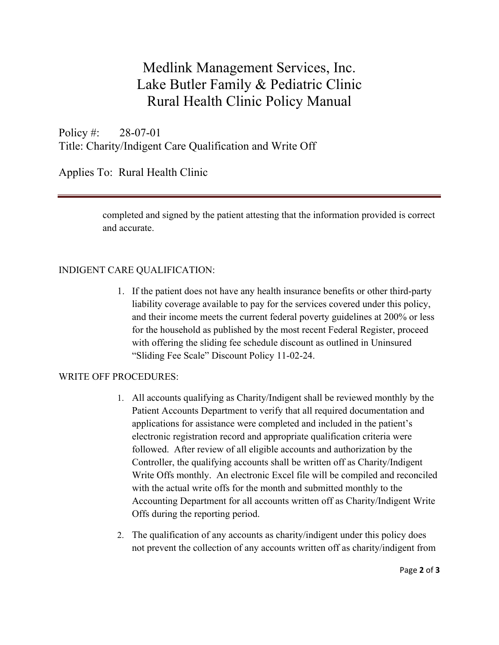# Medlink Management Services, Inc. Lake Butler Family & Pediatric Clinic Rural Health Clinic Policy Manual

Policy #: 28-07-01 Title: Charity/Indigent Care Qualification and Write Off

Applies To: Rural Health Clinic

completed and signed by the patient attesting that the information provided is correct and accurate.

### INDIGENT CARE QUALIFICATION:

1. If the patient does not have any health insurance benefits or other third-party liability coverage available to pay for the services covered under this policy, and their income meets the current federal poverty guidelines at 200% or less for the household as published by the most recent Federal Register, proceed with offering the sliding fee schedule discount as outlined in Uninsured "Sliding Fee Scale" Discount Policy 11-02-24.

#### WRITE OFF PROCEDURES:

- 1. All accounts qualifying as Charity/Indigent shall be reviewed monthly by the Patient Accounts Department to verify that all required documentation and applications for assistance were completed and included in the patient's electronic registration record and appropriate qualification criteria were followed. After review of all eligible accounts and authorization by the Controller, the qualifying accounts shall be written off as Charity/Indigent Write Offs monthly. An electronic Excel file will be compiled and reconciled with the actual write offs for the month and submitted monthly to the Accounting Department for all accounts written off as Charity/Indigent Write Offs during the reporting period.
- 2. The qualification of any accounts as charity/indigent under this policy does not prevent the collection of any accounts written off as charity/indigent from